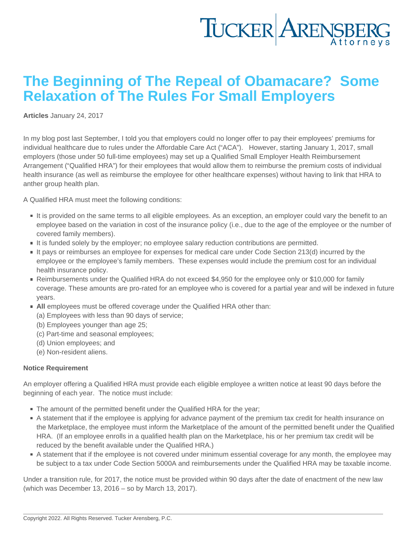## The Beginning of The Repeal of Obamacare? Some Relaxation of The Rules For Small Employers

[Articles](https://www.tuckerlaw.com/category/articles/) January 24, 2017

In my blog post last September, I told you that employers could no longer offer to pay their employees' premiums for individual healthcare due to rules under the Affordable Care Act ("ACA"). However, starting January 1, 2017, small employers (those under 50 full-time employees) may set up a Qualified Small Employer Health Reimbursement Arrangement ("Qualified HRA") for their employees that would allow them to reimburse the premium costs of individual health insurance (as well as reimburse the employee for other healthcare expenses) without having to link that HRA to anther group health plan.

A Qualified HRA must meet the following conditions:

- If is provided on the same terms to all eligible employees. As an exception, an employer could vary the benefit to an employee based on the variation in cost of the insurance policy (i.e., due to the age of the employee or the number of covered family members).
- It is funded solely by the employer; no employee salary reduction contributions are permitted.
- It pays or reimburses an employee for expenses for medical care under Code Section 213(d) incurred by the employee or the employee's family members. These expenses would include the premium cost for an individual health insurance policy.
- Reimbursements under the Qualified HRA do not exceed \$4,950 for the employee only or \$10,000 for family coverage. These amounts are pro-rated for an employee who is covered for a partial year and will be indexed in future years.
- All employees must be offered coverage under the Qualified HRA other than:
	- (a) Employees with less than 90 days of service;
	- (b) Employees younger than age 25;
	- (c) Part-time and seasonal employees;
	- (d) Union employees; and
	- (e) Non-resident aliens.

## Notice Requirement

An employer offering a Qualified HRA must provide each eligible employee a written notice at least 90 days before the beginning of each year. The notice must include:

- The amount of the permitted benefit under the Qualified HRA for the year;
- A statement that if the employee is applying for advance payment of the premium tax credit for health insurance on the Marketplace, the employee must inform the Marketplace of the amount of the permitted benefit under the Qualified HRA. (If an employee enrolls in a qualified health plan on the Marketplace, his or her premium tax credit will be reduced by the benefit available under the Qualified HRA.)
- A statement that if the employee is not covered under minimum essential coverage for any month, the employee may be subject to a tax under Code Section 5000A and reimbursements under the Qualified HRA may be taxable income.

Under a transition rule, for 2017, the notice must be provided within 90 days after the date of enactment of the new law (which was December 13, 2016 – so by March 13, 2017).